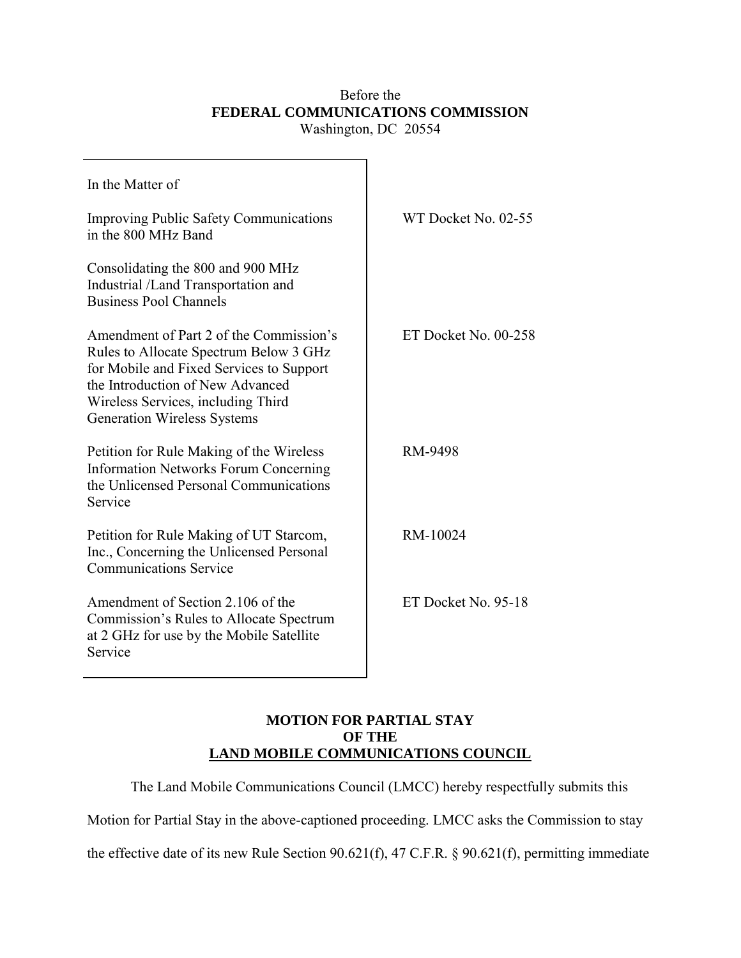## Before the **FEDERAL COMMUNICATIONS COMMISSION**  Washington, DC 20554

| In the Matter of                                                                                                                                                                                                                              |                      |
|-----------------------------------------------------------------------------------------------------------------------------------------------------------------------------------------------------------------------------------------------|----------------------|
| <b>Improving Public Safety Communications</b><br>in the 800 MHz Band                                                                                                                                                                          | WT Docket No. 02-55  |
| Consolidating the 800 and 900 MHz<br>Industrial /Land Transportation and<br><b>Business Pool Channels</b>                                                                                                                                     |                      |
| Amendment of Part 2 of the Commission's<br>Rules to Allocate Spectrum Below 3 GHz<br>for Mobile and Fixed Services to Support<br>the Introduction of New Advanced<br>Wireless Services, including Third<br><b>Generation Wireless Systems</b> | ET Docket No. 00-258 |
| Petition for Rule Making of the Wireless<br><b>Information Networks Forum Concerning</b><br>the Unlicensed Personal Communications<br>Service                                                                                                 | RM-9498              |
| Petition for Rule Making of UT Starcom,<br>Inc., Concerning the Unlicensed Personal<br><b>Communications Service</b>                                                                                                                          | RM-10024             |
| Amendment of Section 2.106 of the<br>Commission's Rules to Allocate Spectrum<br>at 2 GHz for use by the Mobile Satellite<br>Service                                                                                                           | ET Docket No. 95-18  |

## **MOTION FOR PARTIAL STAY OF THE LAND MOBILE COMMUNICATIONS COUNCIL**

The Land Mobile Communications Council (LMCC) hereby respectfully submits this

Motion for Partial Stay in the above-captioned proceeding. LMCC asks the Commission to stay

the effective date of its new Rule Section 90.621(f), 47 C.F.R. ß 90.621(f), permitting immediate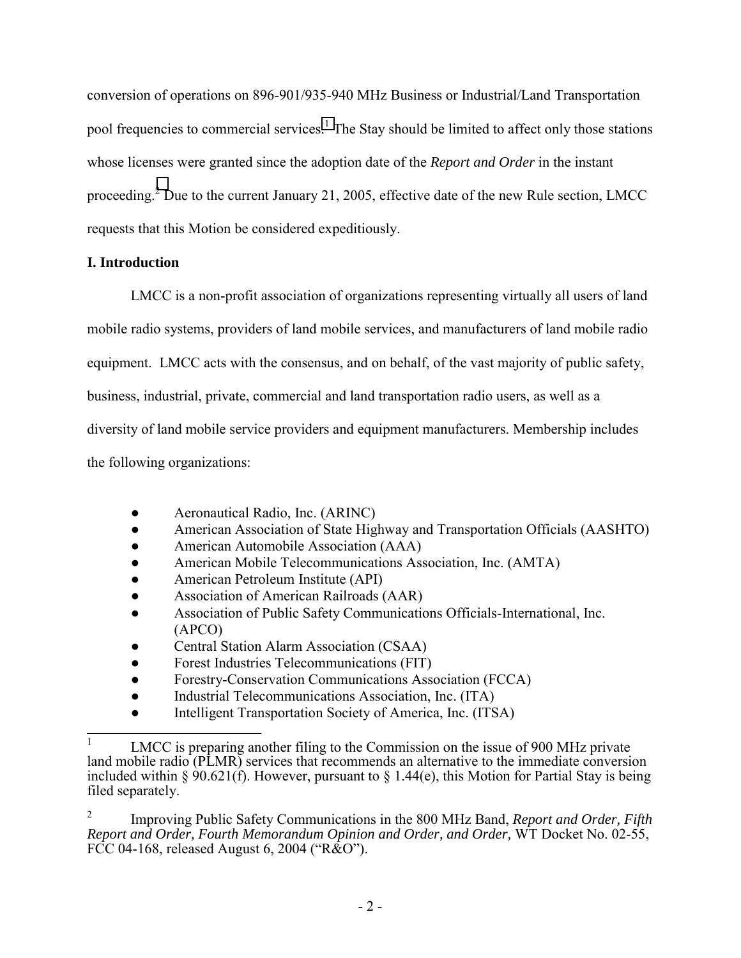conversion of operations on 896-901/935-940 MHz Business or Industrial/Land Transportation pool frequencies to commercial services.<sup>1</sup> The Stay should be limited to affect only those stations whose licenses were granted since the adoption date of the *Report and Order* in the instant proceeding.<sup>2</sup> Due to the current January 21, 2005, effective date of the new Rule section, LMCC requests that this Motion be considered expeditiously.

## **I. Introduction**

 $\overline{1}$ 

 LMCC is a non-profit association of organizations representing virtually all users of land mobile radio systems, providers of land mobile services, and manufacturers of land mobile radio equipment. LMCC acts with the consensus, and on behalf, of the vast majority of public safety, business, industrial, private, commercial and land transportation radio users, as well as a diversity of land mobile service providers and equipment manufacturers. Membership includes the following organizations:

- Aeronautical Radio, Inc. (ARINC)
- American Association of State Highway and Transportation Officials (AASHTO)
- American Automobile Association (AAA)
- American Mobile Telecommunications Association, Inc. (AMTA)
- American Petroleum Institute (API)
- Association of American Railroads (AAR)
- Association of Public Safety Communications Officials-International, Inc. (APCO)
- Central Station Alarm Association (CSAA)
- Forest Industries Telecommunications (FIT)
- Forestry-Conservation Communications Association (FCCA)
- Industrial Telecommunications Association, Inc. (ITA)
- Intelligent Transportation Society of America, Inc. (ITSA)

2 Improving Public Safety Communications in the 800 MHz Band, *Report and Order, Fifth Report and Order, Fourth Memorandum Opinion and Order, and Order,* WT Docket No. 02-55, FCC 04-168, released August 6, 2004 ( $R&O$ <sup>n</sup>).

<sup>1</sup> LMCC is preparing another filing to the Commission on the issue of 900 MHz private land mobile radio (PLMR) services that recommends an alternative to the immediate conversion included within § 90.621(f). However, pursuant to § 1.44(e), this Motion for Partial Stay is being filed separately.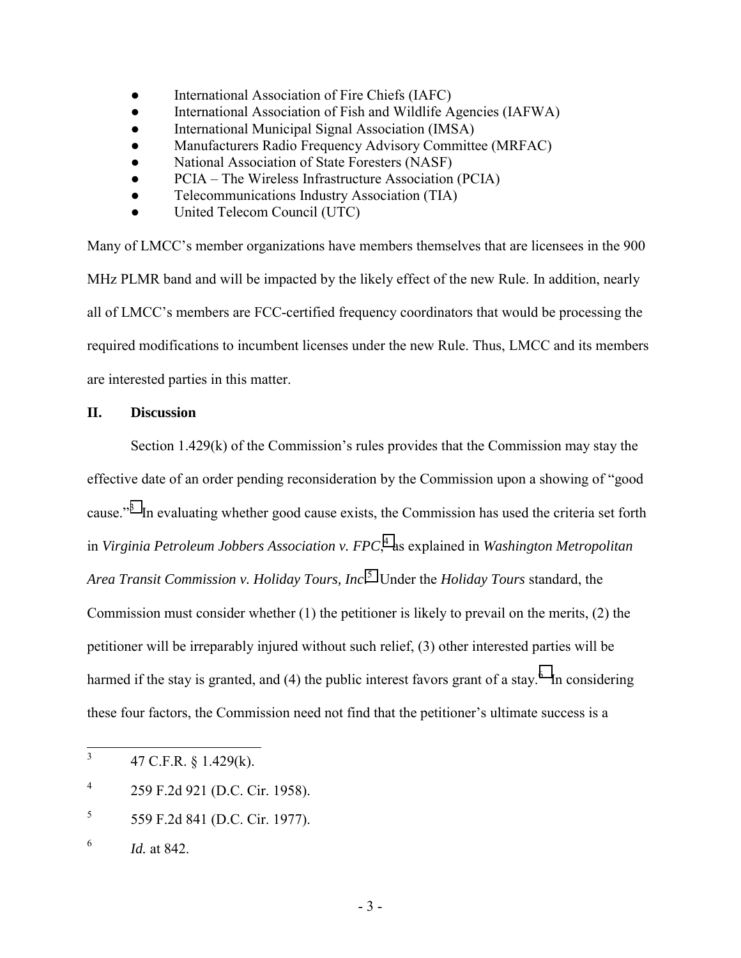- International Association of Fire Chiefs (IAFC)
- International Association of Fish and Wildlife Agencies (IAFWA)
- International Municipal Signal Association (IMSA)
- Manufacturers Radio Frequency Advisory Committee (MRFAC)
- National Association of State Foresters (NASF)
- PCIA The Wireless Infrastructure Association (PCIA)
- Telecommunications Industry Association (TIA)
- United Telecom Council (UTC)

Many of LMCC's member organizations have members themselves that are licensees in the 900 MHz PLMR band and will be impacted by the likely effect of the new Rule. In addition, nearly all of LMCC's members are FCC-certified frequency coordinators that would be processing the required modifications to incumbent licenses under the new Rule. Thus, LMCC and its members are interested parties in this matter.

## **II. Discussion**

Section 1.429 $(k)$  of the Commission's rules provides that the Commission may stay the effective date of an order pending reconsideration by the Commission upon a showing of "good" cause."<sup>3</sup> In evaluating whether good cause exists, the Commission has used the criteria set forth in *Virginia Petroleum Jobbers Association v. FPC*, 4 as explained in *Washington Metropolitan Area Transit Commission v. Holiday Tours, Inc*. 5 Under the *Holiday Tours* standard, the Commission must consider whether (1) the petitioner is likely to prevail on the merits, (2) the petitioner will be irreparably injured without such relief, (3) other interested parties will be harmed if the stay is granted, and (4) the public interest favors grant of a stay.<sup>6</sup> In considering these four factors, the Commission need not find that the petitioner's ultimate success is a

- 4 259 F.2d 921 (D.C. Cir. 1958).
- 5 559 F.2d 841 (D.C. Cir. 1977).

 3 47 C.F.R. ß 1.429(k).

<sup>6</sup> *Id.* at 842.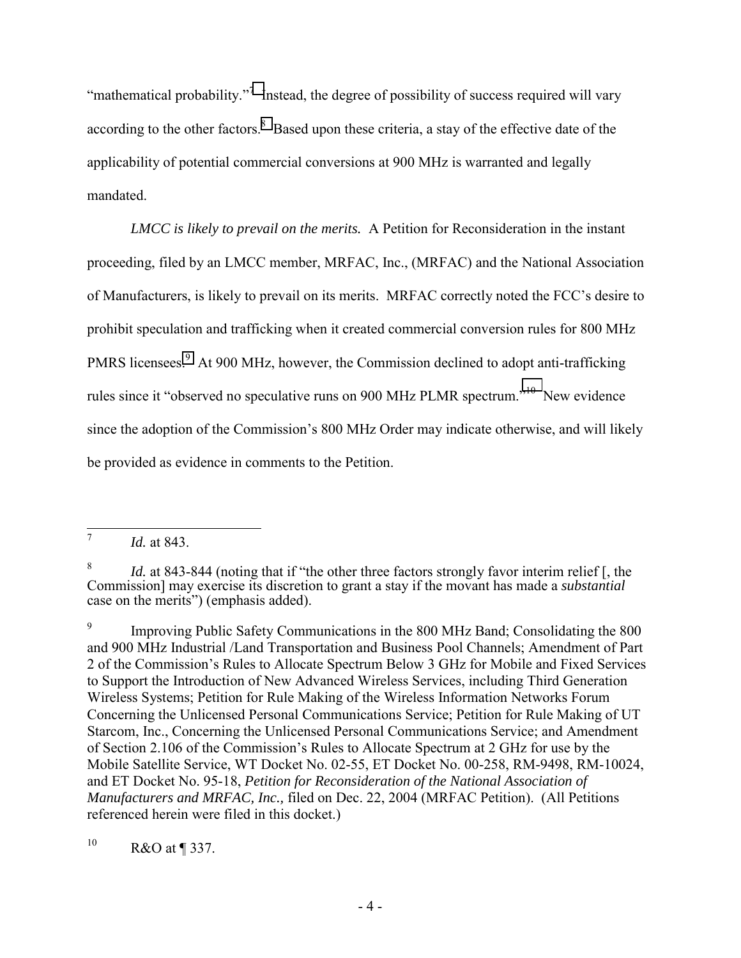"mathematical probability."<sup>7</sup> Instead, the degree of possibility of success required will vary according to the other factors.<sup>8</sup> Based upon these criteria, a stay of the effective date of the applicability of potential commercial conversions at 900 MHz is warranted and legally mandated.

*LMCC is likely to prevail on the merits.* A Petition for Reconsideration in the instant proceeding, filed by an LMCC member, MRFAC, Inc., (MRFAC) and the National Association of Manufacturers, is likely to prevail on its merits. MRFAC correctly noted the FCC's desire to prohibit speculation and trafficking when it created commercial conversion rules for 800 MHz PMRS licensees.<sup>9</sup> At 900 MHz, however, the Commission declined to adopt anti-trafficking rules since it "observed no speculative runs on 900 MHz PLMR spectrum."<sup>10</sup> New evidence since the adoption of the Commission's 800 MHz Order may indicate otherwise, and will likely be provided as evidence in comments to the Petition.

 $10$  R&O at ¶ 337.

<sup>7</sup> *Id.* at 843.

<sup>8</sup> *Id.* at 843-844 (noting that if "the other three factors strongly favor interim relief [, the Commission] may exercise its discretion to grant a stay if the movant has made a *substantial* case on the merits") (emphasis added).

<sup>9</sup> Improving Public Safety Communications in the 800 MHz Band; Consolidating the 800 and 900 MHz Industrial /Land Transportation and Business Pool Channels; Amendment of Part 2 of the Commission's Rules to Allocate Spectrum Below 3 GHz for Mobile and Fixed Services to Support the Introduction of New Advanced Wireless Services, including Third Generation Wireless Systems; Petition for Rule Making of the Wireless Information Networks Forum Concerning the Unlicensed Personal Communications Service; Petition for Rule Making of UT Starcom, Inc., Concerning the Unlicensed Personal Communications Service; and Amendment of Section 2.106 of the Commission's Rules to Allocate Spectrum at 2 GHz for use by the Mobile Satellite Service, WT Docket No. 02-55, ET Docket No. 00-258, RM-9498, RM-10024, and ET Docket No. 95-18, *Petition for Reconsideration of the National Association of Manufacturers and MRFAC, Inc.,* filed on Dec. 22, 2004 (MRFAC Petition). (All Petitions referenced herein were filed in this docket.)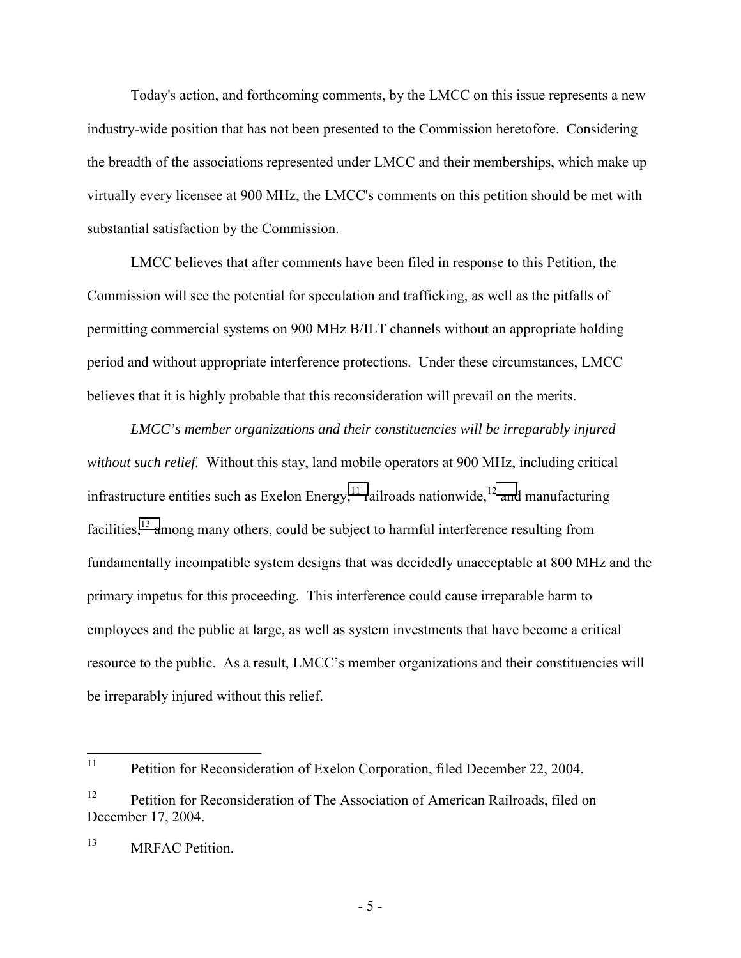Today's action, and forthcoming comments, by the LMCC on this issue represents a new industry-wide position that has not been presented to the Commission heretofore. Considering the breadth of the associations represented under LMCC and their memberships, which make up virtually every licensee at 900 MHz, the LMCC's comments on this petition should be met with substantial satisfaction by the Commission.

LMCC believes that after comments have been filed in response to this Petition, the Commission will see the potential for speculation and trafficking, as well as the pitfalls of permitting commercial systems on 900 MHz B/ILT channels without an appropriate holding period and without appropriate interference protections. Under these circumstances, LMCC believes that it is highly probable that this reconsideration will prevail on the merits.

*LMCC's member organizations and their constituencies will be irreparably injured without such relief.* Without this stay, land mobile operators at 900 MHz, including critical infrastructure entities such as Exelon Energy,<sup>11</sup> railroads nationwide,<sup>12</sup> and manufacturing facilities,<sup>13</sup> among many others, could be subject to harmful interference resulting from fundamentally incompatible system designs that was decidedly unacceptable at 800 MHz and the primary impetus for this proceeding. This interference could cause irreparable harm to employees and the public at large, as well as system investments that have become a critical resource to the public. As a result, LMCC's member organizations and their constituencies will be irreparably injured without this relief.

 $11$ 11 Petition for Reconsideration of Exelon Corporation, filed December 22, 2004.

<sup>&</sup>lt;sup>12</sup> Petition for Reconsideration of The Association of American Railroads, filed on December 17, 2004.

<sup>&</sup>lt;sup>13</sup> MRFAC Petition.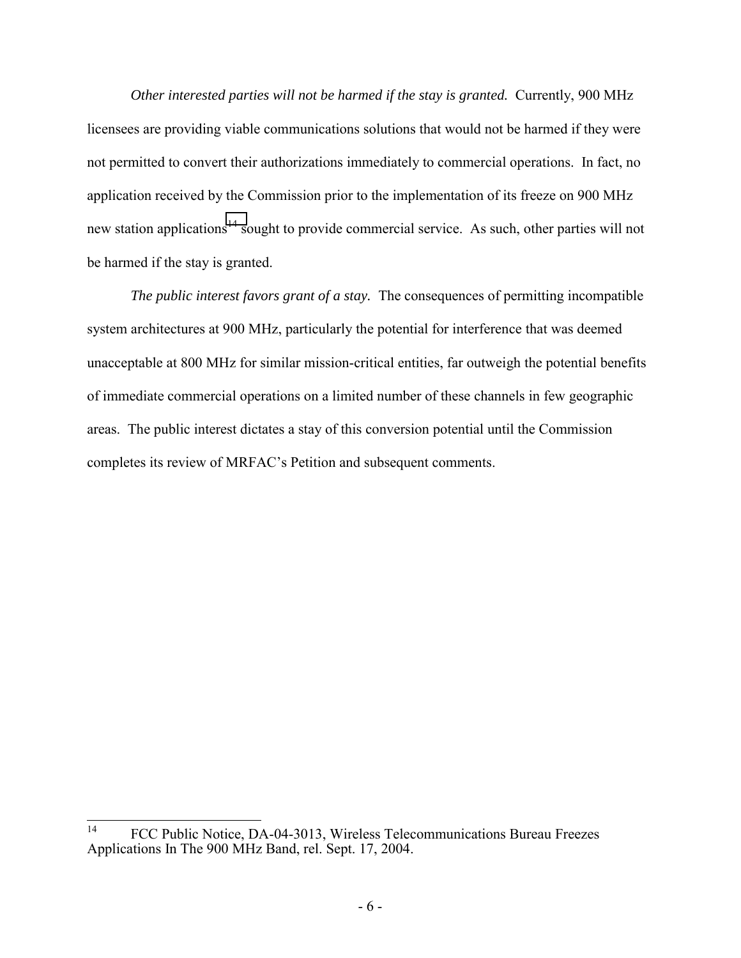*Other interested parties will not be harmed if the stay is granted.* Currently, 900 MHz licensees are providing viable communications solutions that would not be harmed if they were not permitted to convert their authorizations immediately to commercial operations. In fact, no application received by the Commission prior to the implementation of its freeze on 900 MHz new station applications<sup>14</sup> sought to provide commercial service. As such, other parties will not be harmed if the stay is granted.

*The public interest favors grant of a stay.* The consequences of permitting incompatible system architectures at 900 MHz, particularly the potential for interference that was deemed unacceptable at 800 MHz for similar mission-critical entities, far outweigh the potential benefits of immediate commercial operations on a limited number of these channels in few geographic areas. The public interest dictates a stay of this conversion potential until the Commission completes its review of MRFAC's Petition and subsequent comments.

 $14$ FCC Public Notice, DA-04-3013, Wireless Telecommunications Bureau Freezes Applications In The 900 MHz Band, rel. Sept. 17, 2004.